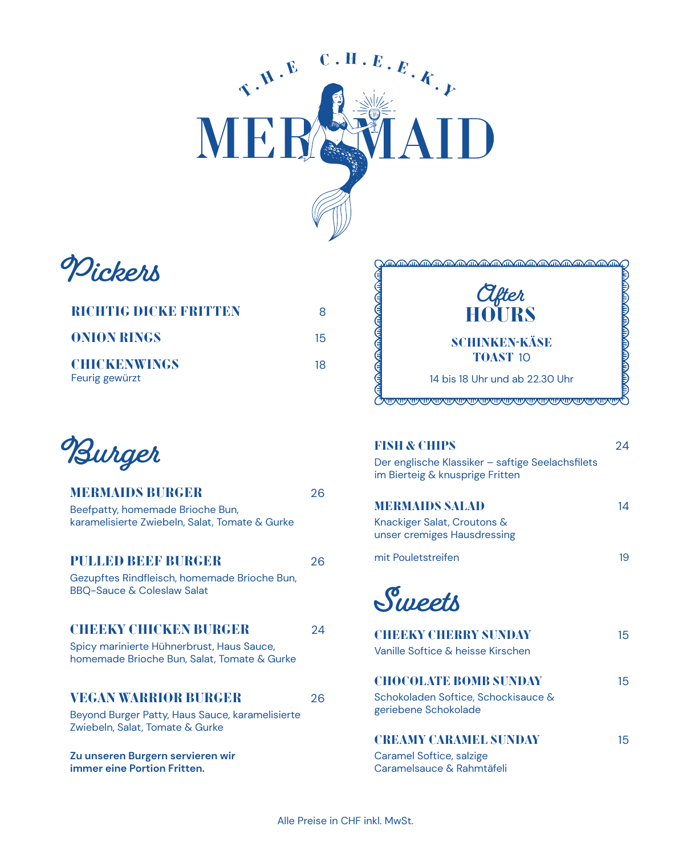

**Pickers**

| <b>RICHTIG DICKB BRITTEN</b>          | x  |
|---------------------------------------|----|
| <b>ONION RINGS</b>                    | 15 |
| <b>CHICKENWINGS</b><br>Feurig gewürzt | 18 |

**Burger**

| <b>MERMAIDS BURGER</b>                                                                   | 26 |
|------------------------------------------------------------------------------------------|----|
| Beefpatty, homemade Brioche Bun,<br>karamelisierte Zwiebeln, Salat, Tomate & Gurke       |    |
| <b>PULLED BEEF BURGER</b>                                                                | 26 |
| Gezupftes Rindfleisch, homemade Brioche Bun,<br><b>BBQ-Sauce &amp; Coleslaw Salat</b>    |    |
| <b>CHEEKY CHIOKEN BURCER</b>                                                             | 24 |
| Spicy marinierte Hühnerbrust, Haus Sauce,<br>homemade Brioche Bun, Salat, Tomate & Gurke |    |
| <b>VEGAN WARRIOR BURGER</b>                                                              | 26 |
| Beyond Burger Patty, Haus Sauce, karamelisierte<br>Zwiebeln, Salat, Tomate & Gurke       |    |
| Zu unseren Burgern servieren wir<br>immer eine Portion Fritten.                          |    |



| <b>FISH &amp; CHIPS</b><br>Der englische Klassiker – saftige Seelachsfilets<br>im Bierteig & knusprige Fritten | 24 |
|----------------------------------------------------------------------------------------------------------------|----|
| <b>MERMAIDS SALAD</b><br>Knackiger Salat, Croutons &<br>unser cremiges Hausdressing                            | 14 |
| mit Pouletstreifen                                                                                             | 19 |
| Sueets<br><b>CHEEKY CHERRY SUNDAY</b><br>Vanille Softice & heisse Kirschen                                     | 15 |
| <b>CHOCOLATE BOMB SUNDAY</b><br>Schokoladen Softice, Schockisauce &<br>geriebene Schokolade                    | 15 |
| <b>CREAMY CARAMEL SUNDAY</b><br>Caramel Softice, salzige                                                       | 15 |

Caramelsauce & Rahmtäfeli